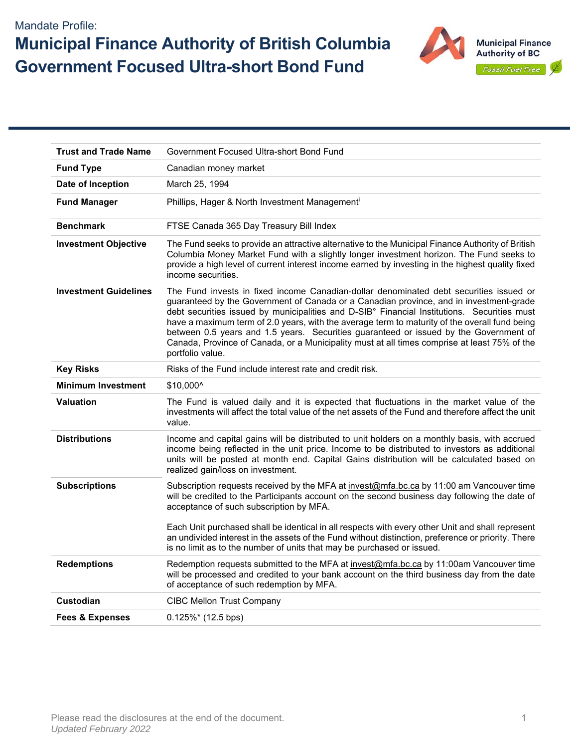## Mandate Profile: **Municipal Finance Authority of British Columbia Government Focused Ultra-short Bond Fund**



| <b>Trust and Trade Name</b>  | Government Focused Ultra-short Bond Fund                                                                                                                                                                                                                                                                                                                                                                                                                                                                                                                                                      |  |  |  |  |  |
|------------------------------|-----------------------------------------------------------------------------------------------------------------------------------------------------------------------------------------------------------------------------------------------------------------------------------------------------------------------------------------------------------------------------------------------------------------------------------------------------------------------------------------------------------------------------------------------------------------------------------------------|--|--|--|--|--|
| <b>Fund Type</b>             | Canadian money market                                                                                                                                                                                                                                                                                                                                                                                                                                                                                                                                                                         |  |  |  |  |  |
| Date of Inception            | March 25, 1994                                                                                                                                                                                                                                                                                                                                                                                                                                                                                                                                                                                |  |  |  |  |  |
| <b>Fund Manager</b>          | Phillips, Hager & North Investment Management <sup>i</sup>                                                                                                                                                                                                                                                                                                                                                                                                                                                                                                                                    |  |  |  |  |  |
| <b>Benchmark</b>             | FTSE Canada 365 Day Treasury Bill Index                                                                                                                                                                                                                                                                                                                                                                                                                                                                                                                                                       |  |  |  |  |  |
| <b>Investment Objective</b>  | The Fund seeks to provide an attractive alternative to the Municipal Finance Authority of British<br>Columbia Money Market Fund with a slightly longer investment horizon. The Fund seeks to<br>provide a high level of current interest income earned by investing in the highest quality fixed<br>income securities.                                                                                                                                                                                                                                                                        |  |  |  |  |  |
| <b>Investment Guidelines</b> | The Fund invests in fixed income Canadian-dollar denominated debt securities issued or<br>guaranteed by the Government of Canada or a Canadian province, and in investment-grade<br>debt securities issued by municipalities and D-SIB° Financial Institutions. Securities must<br>have a maximum term of 2.0 years, with the average term to maturity of the overall fund being<br>between 0.5 years and 1.5 years. Securities guaranteed or issued by the Government of<br>Canada, Province of Canada, or a Municipality must at all times comprise at least 75% of the<br>portfolio value. |  |  |  |  |  |
| <b>Key Risks</b>             | Risks of the Fund include interest rate and credit risk.                                                                                                                                                                                                                                                                                                                                                                                                                                                                                                                                      |  |  |  |  |  |
| <b>Minimum Investment</b>    | \$10,000^                                                                                                                                                                                                                                                                                                                                                                                                                                                                                                                                                                                     |  |  |  |  |  |
| <b>Valuation</b>             | The Fund is valued daily and it is expected that fluctuations in the market value of the<br>investments will affect the total value of the net assets of the Fund and therefore affect the unit<br>value.                                                                                                                                                                                                                                                                                                                                                                                     |  |  |  |  |  |
| <b>Distributions</b>         | Income and capital gains will be distributed to unit holders on a monthly basis, with accrued<br>income being reflected in the unit price. Income to be distributed to investors as additional<br>units will be posted at month end. Capital Gains distribution will be calculated based on<br>realized gain/loss on investment.                                                                                                                                                                                                                                                              |  |  |  |  |  |
| <b>Subscriptions</b>         | Subscription requests received by the MFA at invest@mfa.bc.ca by 11:00 am Vancouver time<br>will be credited to the Participants account on the second business day following the date of<br>acceptance of such subscription by MFA.                                                                                                                                                                                                                                                                                                                                                          |  |  |  |  |  |
|                              | Each Unit purchased shall be identical in all respects with every other Unit and shall represent<br>an undivided interest in the assets of the Fund without distinction, preference or priority. There<br>is no limit as to the number of units that may be purchased or issued.                                                                                                                                                                                                                                                                                                              |  |  |  |  |  |
| <b>Redemptions</b>           | Redemption requests submitted to the MFA at invest@mfa.bc.ca by 11:00am Vancouver time<br>will be processed and credited to your bank account on the third business day from the date<br>of acceptance of such redemption by MFA.                                                                                                                                                                                                                                                                                                                                                             |  |  |  |  |  |
| Custodian                    | <b>CIBC Mellon Trust Company</b>                                                                                                                                                                                                                                                                                                                                                                                                                                                                                                                                                              |  |  |  |  |  |
| <b>Fees &amp; Expenses</b>   | $0.125\%*$ (12.5 bps)                                                                                                                                                                                                                                                                                                                                                                                                                                                                                                                                                                         |  |  |  |  |  |